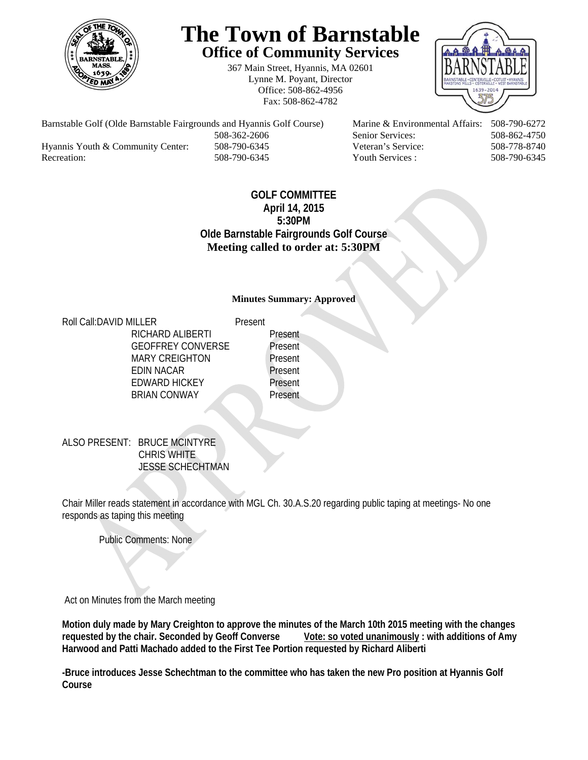

# **The Town of Barnstable Office of Community Services**

367 Main Street, Hyannis, MA 02601 Lynne M. Poyant, Director Office: 508-862-4956 Fax: 508-862-4782



 508-362-2606 Senior Services: 508-862-4750 Hyannis Youth & Community Center: 508-790-6345 Veteran's Service: 508-778-8740

Barnstable Golf (Olde Barnstable Fairgrounds and Hyannis Golf Course) Marine & Environmental Affairs: 508-790-6272 Recreation: 508-790-6345 Youth Services : 508-790-6345 S08-790-6345

## **GOLF COMMITTEE April 14, 2015 5:30PM Olde Barnstable Fairgrounds Golf Course Meeting called to order at: 5:30PM**

#### **Minutes Summary: Approved**

Roll Call: DAVID MILLER Present RICHARD ALIBERTI Present GEOFFREY CONVERSE Present MARY CREIGHTON Present EDIN NACAR Present EDWARD HICKEY Present BRIAN CONWAY Present

ALSO PRESENT: BRUCE MCINTYRE CHRIS WHITE JESSE SCHECHTMAN

Chair Miller reads statement in accordance with MGL Ch. 30.A.S.20 regarding public taping at meetings- No one responds as taping this meeting

Public Comments: None

Act on Minutes from the March meeting

**Motion duly made by Mary Creighton to approve the minutes of the March 10th 2015 meeting with the changes**  requested by the chair. Seconded by Geoff Converse Vote: so voted unanimously : with additions of Amy **Harwood and Patti Machado added to the First Tee Portion requested by Richard Aliberti** 

**-Bruce introduces Jesse Schechtman to the committee who has taken the new Pro position at Hyannis Golf Course**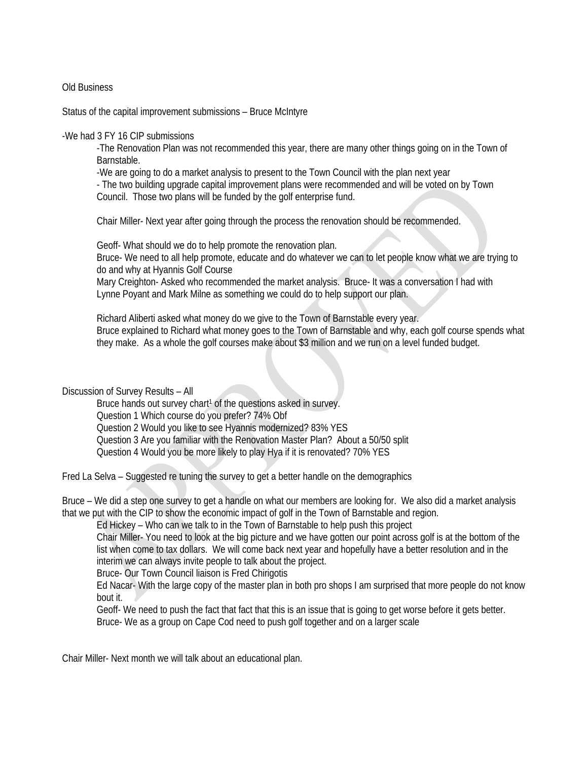#### Old Business

Status of the capital improvement submissions – Bruce McIntyre

#### -We had 3 FY 16 CIP submissions

-The Renovation Plan was not recommended this year, there are many other things going on in the Town of Barnstable.

-We are going to do a market analysis to present to the Town Council with the plan next year

- The two building upgrade capital improvement plans were recommended and will be voted on by Town Council. Those two plans will be funded by the golf enterprise fund.

Chair Miller- Next year after going through the process the renovation should be recommended.

Geoff- What should we do to help promote the renovation plan.

Bruce- We need to all help promote, educate and do whatever we can to let people know what we are trying to do and why at Hyannis Golf Course

Mary Creighton- Asked who recommended the market analysis. Bruce- It was a conversation I had with Lynne Poyant and Mark Milne as something we could do to help support our plan.

Richard Aliberti asked what money do we give to the Town of Barnstable every year. Bruce explained to Richard what money goes to the Town of Barnstable and why, each golf course spends what they make. As a whole the golf courses make about \$3 million and we run on a level funded budget.

Discussion of Survey Results – All

Bruce hands out survey chart<sup>1</sup> of the questions asked in survey. Question 1 Which course do you prefer? 74% Obf Question 2 Would you like to see Hyannis modernized? 83% YES Question 3 Are you familiar with the Renovation Master Plan? About a 50/50 split Question 4 Would you be more likely to play Hya if it is renovated? 70% YES

Fred La Selva – Suggested re tuning the survey to get a better handle on the demographics

Bruce – We did a step one survey to get a handle on what our members are looking for. We also did a market analysis that we put with the CIP to show the economic impact of golf in the Town of Barnstable and region.

Ed Hickey – Who can we talk to in the Town of Barnstable to help push this project

Chair Miller- You need to look at the big picture and we have gotten our point across golf is at the bottom of the list when come to tax dollars. We will come back next year and hopefully have a better resolution and in the interim we can always invite people to talk about the project.

Bruce- Our Town Council liaison is Fred Chirigotis

Ed Nacar- With the large copy of the master plan in both pro shops I am surprised that more people do not know bout it.

Geoff- We need to push the fact that fact that this is an issue that is going to get worse before it gets better. Bruce- We as a group on Cape Cod need to push golf together and on a larger scale

Chair Miller- Next month we will talk about an educational plan.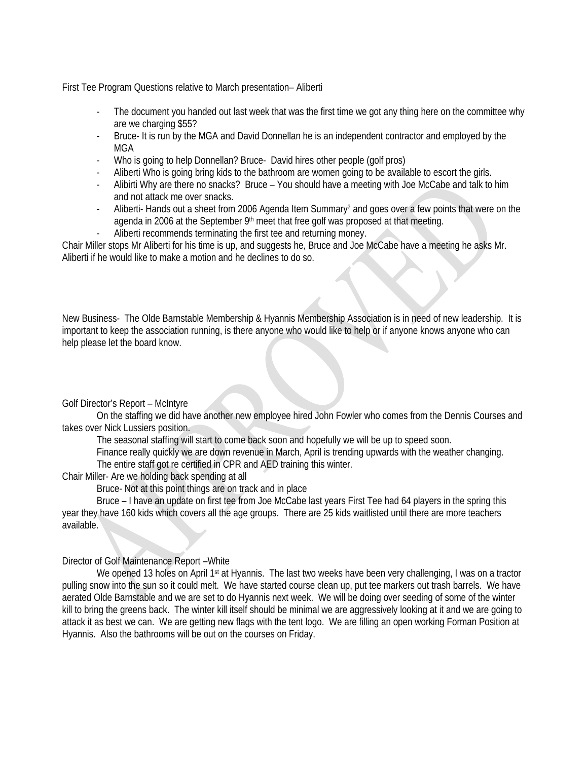First Tee Program Questions relative to March presentation– Aliberti

- The document you handed out last week that was the first time we got any thing here on the committee why are we charging \$55?
- Bruce- It is run by the MGA and David Donnellan he is an independent contractor and employed by the MGA
- Who is going to help Donnellan? Bruce- David hires other people (golf pros)
- Aliberti Who is going bring kids to the bathroom are women going to be available to escort the girls.
- Alibirti Why are there no snacks? Bruce You should have a meeting with Joe McCabe and talk to him and not attack me over snacks.
- Aliberti- Hands out a sheet from 2006 Agenda Item Summary<sup>2</sup> and goes over a few points that were on the agenda in 2006 at the September 9<sup>th</sup> meet that free golf was proposed at that meeting.
- Aliberti recommends terminating the first tee and returning money.

Chair Miller stops Mr Aliberti for his time is up, and suggests he, Bruce and Joe McCabe have a meeting he asks Mr. Aliberti if he would like to make a motion and he declines to do so.

New Business- The Olde Barnstable Membership & Hyannis Membership Association is in need of new leadership. It is important to keep the association running, is there anyone who would like to help or if anyone knows anyone who can help please let the board know.

Golf Director's Report – McIntyre

 On the staffing we did have another new employee hired John Fowler who comes from the Dennis Courses and takes over Nick Lussiers position.

The seasonal staffing will start to come back soon and hopefully we will be up to speed soon.

 Finance really quickly we are down revenue in March, April is trending upwards with the weather changing. The entire staff got re certified in CPR and AED training this winter.

Chair Miller- Are we holding back spending at all

Bruce- Not at this point things are on track and in place

 Bruce – I have an update on first tee from Joe McCabe last years First Tee had 64 players in the spring this year they have 160 kids which covers all the age groups. There are 25 kids waitlisted until there are more teachers available.

#### Director of Golf Maintenance Report –White

We opened 13 holes on April 1st at Hyannis. The last two weeks have been very challenging, I was on a tractor pulling snow into the sun so it could melt. We have started course clean up, put tee markers out trash barrels. We have aerated Olde Barnstable and we are set to do Hyannis next week. We will be doing over seeding of some of the winter kill to bring the greens back. The winter kill itself should be minimal we are aggressively looking at it and we are going to attack it as best we can. We are getting new flags with the tent logo. We are filling an open working Forman Position at Hyannis. Also the bathrooms will be out on the courses on Friday.